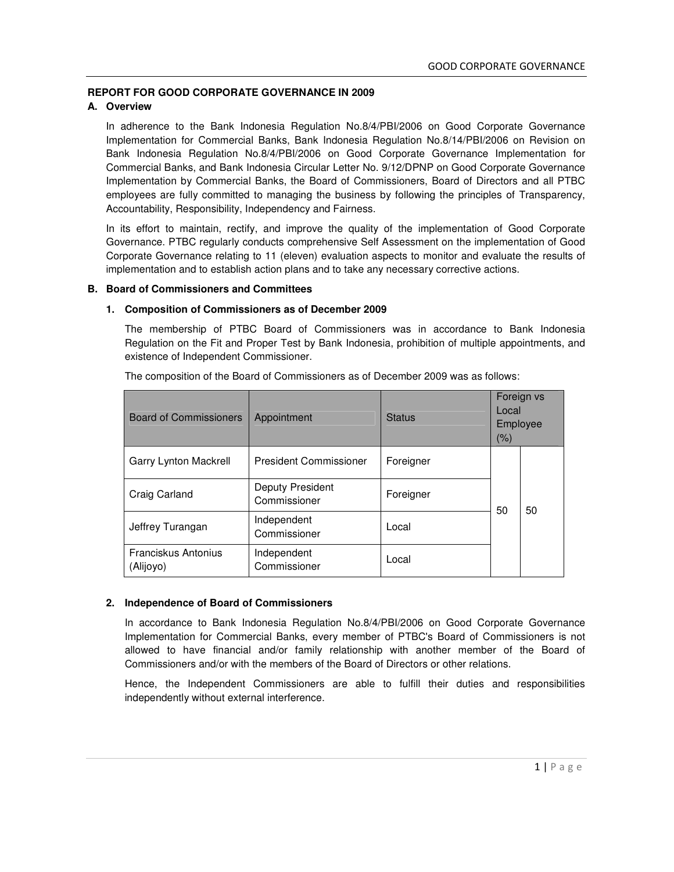# **REPORT FOR GOOD CORPORATE GOVERNANCE IN 2009**

# **A. Overview**

In adherence to the Bank Indonesia Regulation No.8/4/PBI/2006 on Good Corporate Governance Implementation for Commercial Banks, Bank Indonesia Regulation No.8/14/PBI/2006 on Revision on Bank Indonesia Regulation No.8/4/PBI/2006 on Good Corporate Governance Implementation for Commercial Banks, and Bank Indonesia Circular Letter No. 9/12/DPNP on Good Corporate Governance Implementation by Commercial Banks, the Board of Commissioners, Board of Directors and all PTBC employees are fully committed to managing the business by following the principles of Transparency, Accountability, Responsibility, Independency and Fairness.

In its effort to maintain, rectify, and improve the quality of the implementation of Good Corporate Governance. PTBC regularly conducts comprehensive Self Assessment on the implementation of Good Corporate Governance relating to 11 (eleven) evaluation aspects to monitor and evaluate the results of implementation and to establish action plans and to take any necessary corrective actions.

#### **B. Board of Commissioners and Committees**

#### **1. Composition of Commissioners as of December 2009**

The membership of PTBC Board of Commissioners was in accordance to Bank Indonesia Regulation on the Fit and Proper Test by Bank Indonesia, prohibition of multiple appointments, and existence of Independent Commissioner.

| <b>Board of Commissioners</b>           | Appointment                      | <b>Status</b> | Local<br>(%) | Foreign vs<br>Employee |
|-----------------------------------------|----------------------------------|---------------|--------------|------------------------|
| Garry Lynton Mackrell                   | <b>President Commissioner</b>    | Foreigner     |              |                        |
| Craig Carland                           | Deputy President<br>Commissioner | Foreigner     | 50           | 50                     |
| Jeffrey Turangan                        | Independent<br>Commissioner      | Local         |              |                        |
| <b>Franciskus Antonius</b><br>(Alijoyo) | Independent<br>Commissioner      | Local         |              |                        |

The composition of the Board of Commissioners as of December 2009 was as follows:

### **2. Independence of Board of Commissioners**

In accordance to Bank Indonesia Regulation No.8/4/PBI/2006 on Good Corporate Governance Implementation for Commercial Banks, every member of PTBC's Board of Commissioners is not allowed to have financial and/or family relationship with another member of the Board of Commissioners and/or with the members of the Board of Directors or other relations.

Hence, the Independent Commissioners are able to fulfill their duties and responsibilities independently without external interference.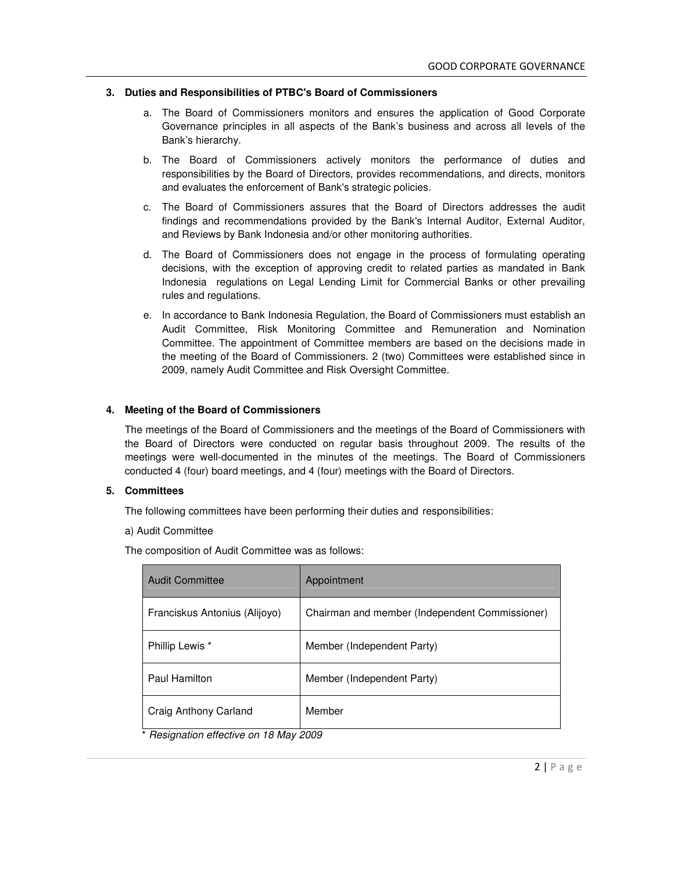#### **3. Duties and Responsibilities of PTBC's Board of Commissioners**

- a. The Board of Commissioners monitors and ensures the application of Good Corporate Governance principles in all aspects of the Bank's business and across all levels of the Bank's hierarchy.
- b. The Board of Commissioners actively monitors the performance of duties and responsibilities by the Board of Directors, provides recommendations, and directs, monitors and evaluates the enforcement of Bank's strategic policies.
- c. The Board of Commissioners assures that the Board of Directors addresses the audit findings and recommendations provided by the Bank's Internal Auditor, External Auditor, and Reviews by Bank Indonesia and/or other monitoring authorities.
- d. The Board of Commissioners does not engage in the process of formulating operating decisions, with the exception of approving credit to related parties as mandated in Bank Indonesia regulations on Legal Lending Limit for Commercial Banks or other prevailing rules and regulations.
- e. In accordance to Bank Indonesia Regulation, the Board of Commissioners must establish an Audit Committee, Risk Monitoring Committee and Remuneration and Nomination Committee. The appointment of Committee members are based on the decisions made in the meeting of the Board of Commissioners. 2 (two) Committees were established since in 2009, namely Audit Committee and Risk Oversight Committee.

#### **4. Meeting of the Board of Commissioners**

The meetings of the Board of Commissioners and the meetings of the Board of Commissioners with the Board of Directors were conducted on regular basis throughout 2009. The results of the meetings were well-documented in the minutes of the meetings. The Board of Commissioners conducted 4 (four) board meetings, and 4 (four) meetings with the Board of Directors.

#### **5. Committees**

The following committees have been performing their duties and responsibilities:

a) Audit Committee

The composition of Audit Committee was as follows:

| <b>Audit Committee</b>        | Appointment                                    |
|-------------------------------|------------------------------------------------|
| Franciskus Antonius (Alijoyo) | Chairman and member (Independent Commissioner) |
| Phillip Lewis *               | Member (Independent Party)                     |
| <b>Paul Hamilton</b>          | Member (Independent Party)                     |
| Craig Anthony Carland         | Member                                         |

\* *Resignation effective on 18 May 2009*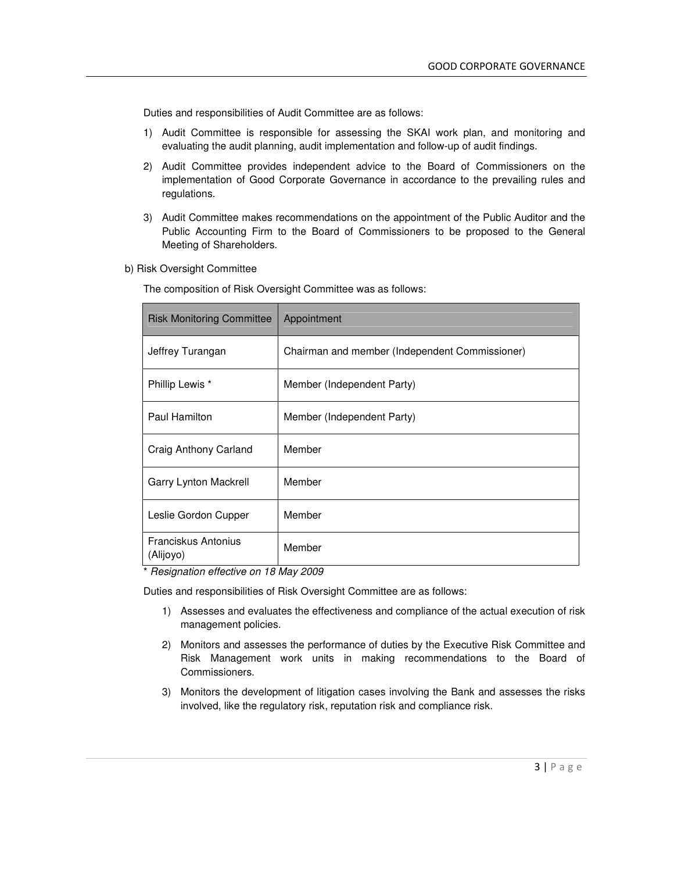Duties and responsibilities of Audit Committee are as follows:

- 1) Audit Committee is responsible for assessing the SKAI work plan, and monitoring and evaluating the audit planning, audit implementation and follow-up of audit findings.
- 2) Audit Committee provides independent advice to the Board of Commissioners on the implementation of Good Corporate Governance in accordance to the prevailing rules and regulations.
- 3) Audit Committee makes recommendations on the appointment of the Public Auditor and the Public Accounting Firm to the Board of Commissioners to be proposed to the General Meeting of Shareholders.
- b) Risk Oversight Committee

The composition of Risk Oversight Committee was as follows:

| <b>Risk Monitoring Committee</b>        | Appointment                                    |
|-----------------------------------------|------------------------------------------------|
| Jeffrey Turangan                        | Chairman and member (Independent Commissioner) |
| Phillip Lewis *                         | Member (Independent Party)                     |
| Paul Hamilton                           | Member (Independent Party)                     |
| Craig Anthony Carland                   | Member                                         |
| Garry Lynton Mackrell                   | Member                                         |
| Leslie Gordon Cupper                    | Member                                         |
| <b>Franciskus Antonius</b><br>(Alijoyo) | Member                                         |

\* *Resignation effective on 18 May 2009*

Duties and responsibilities of Risk Oversight Committee are as follows:

- 1) Assesses and evaluates the effectiveness and compliance of the actual execution of risk management policies.
- 2) Monitors and assesses the performance of duties by the Executive Risk Committee and Risk Management work units in making recommendations to the Board of Commissioners.
- 3) Monitors the development of litigation cases involving the Bank and assesses the risks involved, like the regulatory risk, reputation risk and compliance risk.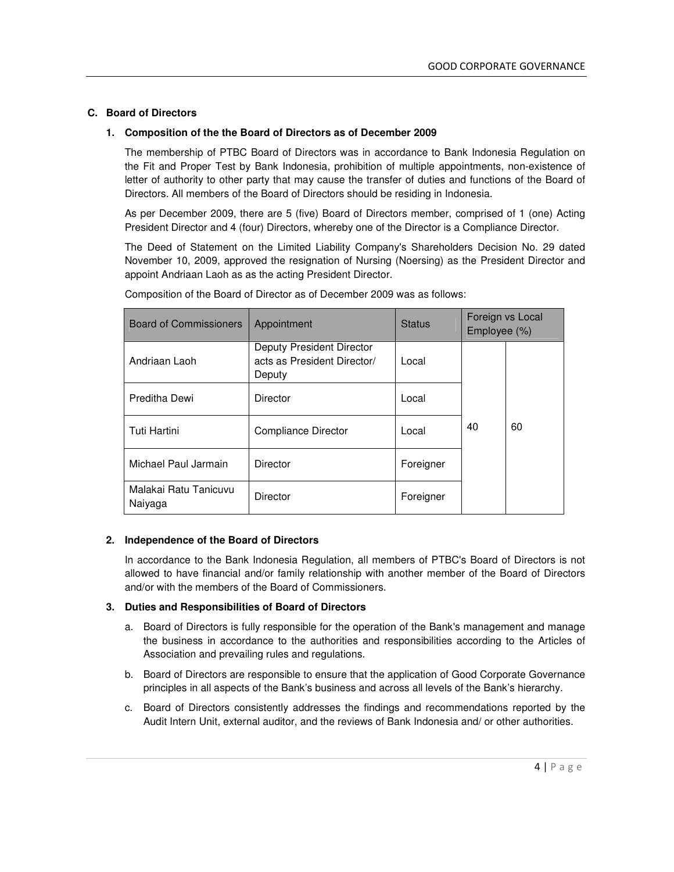### **C. Board of Directors**

## **1. Composition of the the Board of Directors as of December 2009**

The membership of PTBC Board of Directors was in accordance to Bank Indonesia Regulation on the Fit and Proper Test by Bank Indonesia, prohibition of multiple appointments, non-existence of letter of authority to other party that may cause the transfer of duties and functions of the Board of Directors. All members of the Board of Directors should be residing in Indonesia.

As per December 2009, there are 5 (five) Board of Directors member, comprised of 1 (one) Acting President Director and 4 (four) Directors, whereby one of the Director is a Compliance Director.

The Deed of Statement on the Limited Liability Company's Shareholders Decision No. 29 dated November 10, 2009, approved the resignation of Nursing (Noersing) as the President Director and appoint Andriaan Laoh as as the acting President Director.

| <b>Board of Commissioners</b>    | Appointment                                                        | <b>Status</b> | Employee (%) | Foreign vs Local |
|----------------------------------|--------------------------------------------------------------------|---------------|--------------|------------------|
| Andriaan Laoh                    | Deputy President Director<br>acts as President Director/<br>Deputy | Local         |              |                  |
| Preditha Dewi                    | <b>Director</b>                                                    | Local         |              |                  |
| <b>Tuti Hartini</b>              | Compliance Director                                                | Local         | 40           | 60               |
| Michael Paul Jarmain             | <b>Director</b>                                                    | Foreigner     |              |                  |
| Malakai Ratu Tanicuvu<br>Naiyaga | <b>Director</b>                                                    | Foreigner     |              |                  |

Composition of the Board of Director as of December 2009 was as follows:

### **2. Independence of the Board of Directors**

In accordance to the Bank Indonesia Regulation, all members of PTBC's Board of Directors is not allowed to have financial and/or family relationship with another member of the Board of Directors and/or with the members of the Board of Commissioners.

### **3. Duties and Responsibilities of Board of Directors**

- a. Board of Directors is fully responsible for the operation of the Bank's management and manage the business in accordance to the authorities and responsibilities according to the Articles of Association and prevailing rules and regulations.
- b. Board of Directors are responsible to ensure that the application of Good Corporate Governance principles in all aspects of the Bank's business and across all levels of the Bank's hierarchy.
- c. Board of Directors consistently addresses the findings and recommendations reported by the Audit Intern Unit, external auditor, and the reviews of Bank Indonesia and/ or other authorities.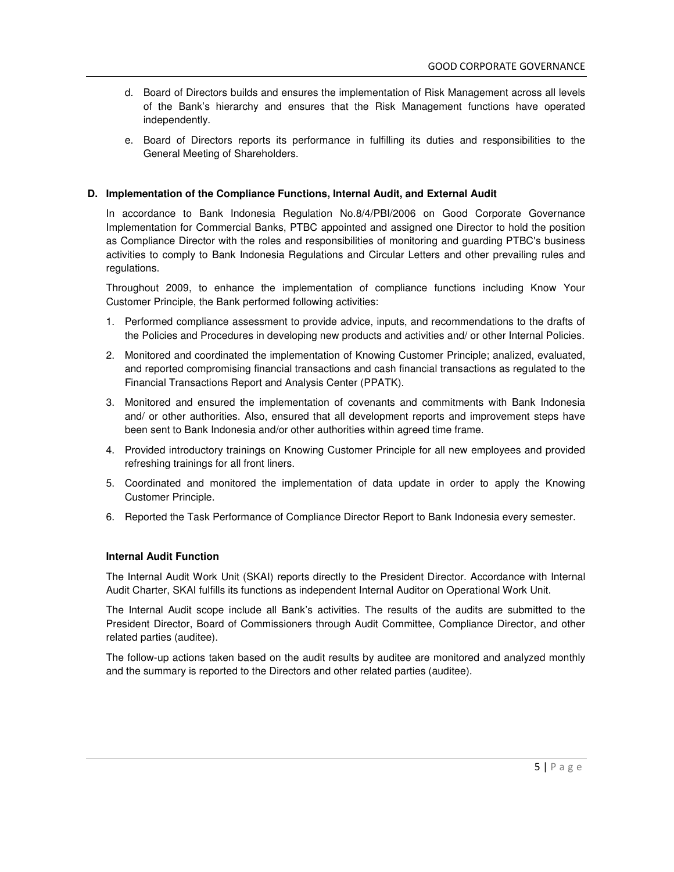- d. Board of Directors builds and ensures the implementation of Risk Management across all levels of the Bank's hierarchy and ensures that the Risk Management functions have operated independently.
- e. Board of Directors reports its performance in fulfilling its duties and responsibilities to the General Meeting of Shareholders.

### **D. Implementation of the Compliance Functions, Internal Audit, and External Audit**

In accordance to Bank Indonesia Regulation No.8/4/PBI/2006 on Good Corporate Governance Implementation for Commercial Banks, PTBC appointed and assigned one Director to hold the position as Compliance Director with the roles and responsibilities of monitoring and guarding PTBC's business activities to comply to Bank Indonesia Regulations and Circular Letters and other prevailing rules and regulations.

Throughout 2009, to enhance the implementation of compliance functions including Know Your Customer Principle, the Bank performed following activities:

- 1. Performed compliance assessment to provide advice, inputs, and recommendations to the drafts of the Policies and Procedures in developing new products and activities and/ or other Internal Policies.
- 2. Monitored and coordinated the implementation of Knowing Customer Principle; analized, evaluated, and reported compromising financial transactions and cash financial transactions as regulated to the Financial Transactions Report and Analysis Center (PPATK).
- 3. Monitored and ensured the implementation of covenants and commitments with Bank Indonesia and/ or other authorities. Also, ensured that all development reports and improvement steps have been sent to Bank Indonesia and/or other authorities within agreed time frame.
- 4. Provided introductory trainings on Knowing Customer Principle for all new employees and provided refreshing trainings for all front liners.
- 5. Coordinated and monitored the implementation of data update in order to apply the Knowing Customer Principle.
- 6. Reported the Task Performance of Compliance Director Report to Bank Indonesia every semester.

#### **Internal Audit Function**

The Internal Audit Work Unit (SKAI) reports directly to the President Director. Accordance with Internal Audit Charter, SKAI fulfills its functions as independent Internal Auditor on Operational Work Unit.

The Internal Audit scope include all Bank's activities. The results of the audits are submitted to the President Director, Board of Commissioners through Audit Committee, Compliance Director, and other related parties (auditee).

The follow-up actions taken based on the audit results by auditee are monitored and analyzed monthly and the summary is reported to the Directors and other related parties (auditee).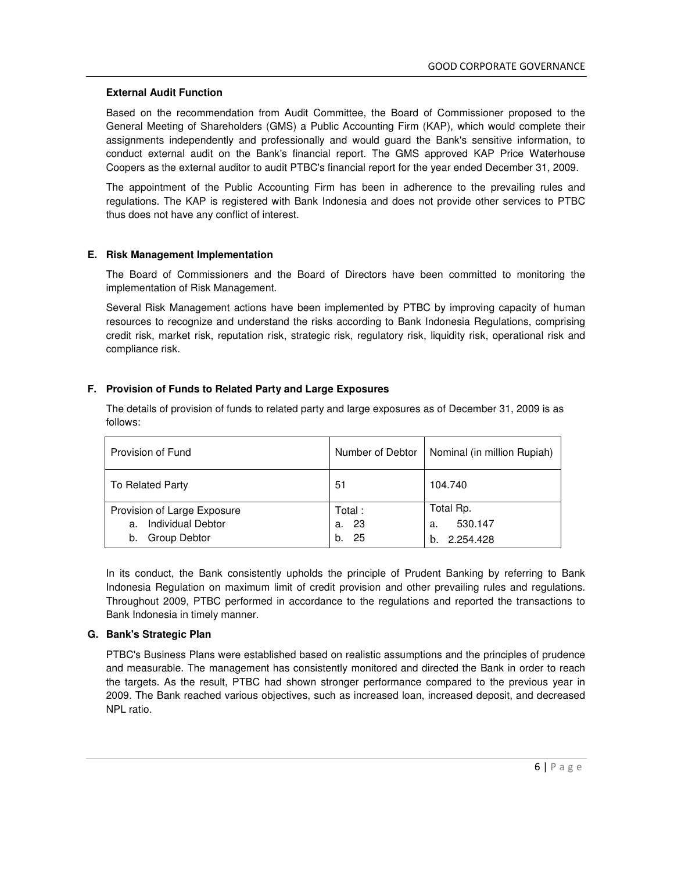#### **External Audit Function**

Based on the recommendation from Audit Committee, the Board of Commissioner proposed to the General Meeting of Shareholders (GMS) a Public Accounting Firm (KAP), which would complete their assignments independently and professionally and would guard the Bank's sensitive information, to conduct external audit on the Bank's financial report. The GMS approved KAP Price Waterhouse Coopers as the external auditor to audit PTBC's financial report for the year ended December 31, 2009.

The appointment of the Public Accounting Firm has been in adherence to the prevailing rules and regulations. The KAP is registered with Bank Indonesia and does not provide other services to PTBC thus does not have any conflict of interest.

#### **E. Risk Management Implementation**

The Board of Commissioners and the Board of Directors have been committed to monitoring the implementation of Risk Management.

Several Risk Management actions have been implemented by PTBC by improving capacity of human resources to recognize and understand the risks according to Bank Indonesia Regulations, comprising credit risk, market risk, reputation risk, strategic risk, regulatory risk, liquidity risk, operational risk and compliance risk.

# **F. Provision of Funds to Related Party and Large Exposures**

| Provision of Fund                                                                   |                                | Number of Debtor   Nominal (in million Rupiah) |
|-------------------------------------------------------------------------------------|--------------------------------|------------------------------------------------|
| To Related Party                                                                    | 51                             | 104.740                                        |
| Provision of Large Exposure<br><b>Individual Debtor</b><br>a.<br>Group Debtor<br>b. | Total:<br>23<br>a.<br>25<br>b. | Total Rp.<br>530.147<br>a.<br>2.254.428<br>h.  |

The details of provision of funds to related party and large exposures as of December 31, 2009 is as follows:

In its conduct, the Bank consistently upholds the principle of Prudent Banking by referring to Bank Indonesia Regulation on maximum limit of credit provision and other prevailing rules and regulations. Throughout 2009, PTBC performed in accordance to the regulations and reported the transactions to Bank Indonesia in timely manner.

### **G. Bank's Strategic Plan**

PTBC's Business Plans were established based on realistic assumptions and the principles of prudence and measurable. The management has consistently monitored and directed the Bank in order to reach the targets. As the result, PTBC had shown stronger performance compared to the previous year in 2009. The Bank reached various objectives, such as increased loan, increased deposit, and decreased NPL ratio.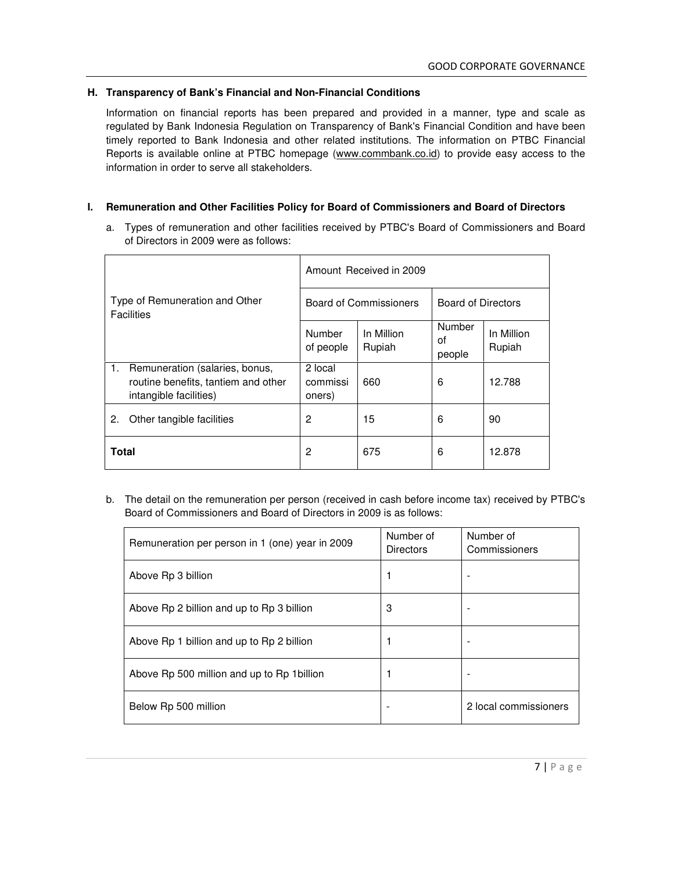# **H. Transparency of Bank's Financial and Non-Financial Conditions**

Information on financial reports has been prepared and provided in a manner, type and scale as regulated by Bank Indonesia Regulation on Transparency of Bank's Financial Condition and have been timely reported to Bank Indonesia and other related institutions. The information on PTBC Financial Reports is available online at PTBC homepage (www.commbank.co.id) to provide easy access to the information in order to serve all stakeholders.

# **I. Remuneration and Other Facilities Policy for Board of Commissioners and Board of Directors**

a. Types of remuneration and other facilities received by PTBC's Board of Commissioners and Board of Directors in 2009 were as follows:

| Type of Remuneration and Other<br><b>Facilities</b> |                                                                                                 | Amount Received in 2009       |                      |                               |                      |
|-----------------------------------------------------|-------------------------------------------------------------------------------------------------|-------------------------------|----------------------|-------------------------------|----------------------|
|                                                     |                                                                                                 | <b>Board of Commissioners</b> |                      | <b>Board of Directors</b>     |                      |
|                                                     |                                                                                                 | Number<br>of people           | In Million<br>Rupiah | <b>Number</b><br>οf<br>people | In Million<br>Rupiah |
| 1.                                                  | Remuneration (salaries, bonus,<br>routine benefits, tantiem and other<br>intangible facilities) | 2 local<br>commissi<br>oners) | 660                  | 6                             | 12.788               |
| 2.                                                  | Other tangible facilities                                                                       | 2                             | 15                   | 6                             | 90                   |
| <b>Total</b>                                        |                                                                                                 | 2                             | 675                  | 6                             | 12.878               |

b. The detail on the remuneration per person (received in cash before income tax) received by PTBC's Board of Commissioners and Board of Directors in 2009 is as follows:

| Remuneration per person in 1 (one) year in 2009 | Number of<br><b>Directors</b> | Number of<br>Commissioners |
|-------------------------------------------------|-------------------------------|----------------------------|
| Above Rp 3 billion                              |                               |                            |
| Above Rp 2 billion and up to Rp 3 billion       | 3                             | $\overline{\phantom{a}}$   |
| Above Rp 1 billion and up to Rp 2 billion       |                               |                            |
| Above Rp 500 million and up to Rp 1 billion     |                               |                            |
| Below Rp 500 million                            |                               | 2 local commissioners      |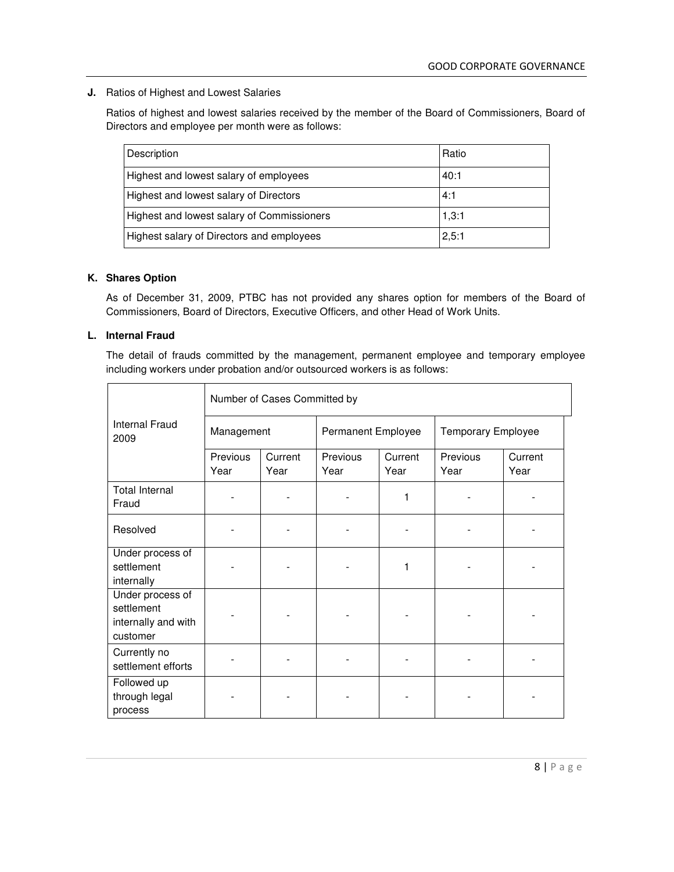**J.** Ratios of Highest and Lowest Salaries

Ratios of highest and lowest salaries received by the member of the Board of Commissioners, Board of Directors and employee per month were as follows:

| Description                                | Ratio |
|--------------------------------------------|-------|
| Highest and lowest salary of employees     | 40:1  |
| Highest and lowest salary of Directors     | 4:1   |
| Highest and lowest salary of Commissioners | 1,3:1 |
| Highest salary of Directors and employees  | 2,5:1 |

## **K. Shares Option**

As of December 31, 2009, PTBC has not provided any shares option for members of the Board of Commissioners, Board of Directors, Executive Officers, and other Head of Work Units.

# **L. Internal Fraud**

The detail of frauds committed by the management, permanent employee and temporary employee including workers under probation and/or outsourced workers is as follows:

|                                                                   | Number of Cases Committed by |                 |                    |                 |                           |                 |
|-------------------------------------------------------------------|------------------------------|-----------------|--------------------|-----------------|---------------------------|-----------------|
| <b>Internal Fraud</b><br>2009                                     | Management                   |                 | Permanent Employee |                 | <b>Temporary Employee</b> |                 |
|                                                                   | Previous<br>Year             | Current<br>Year | Previous<br>Year   | Current<br>Year | Previous<br>Year          | Current<br>Year |
| <b>Total Internal</b><br>Fraud                                    |                              |                 |                    | 1               |                           |                 |
| Resolved                                                          |                              |                 |                    |                 |                           |                 |
| Under process of<br>settlement<br>internally                      |                              |                 |                    | 1               |                           |                 |
| Under process of<br>settlement<br>internally and with<br>customer |                              |                 |                    |                 |                           |                 |
| Currently no<br>settlement efforts                                |                              |                 |                    |                 |                           |                 |
| Followed up<br>through legal<br>process                           |                              |                 |                    |                 |                           |                 |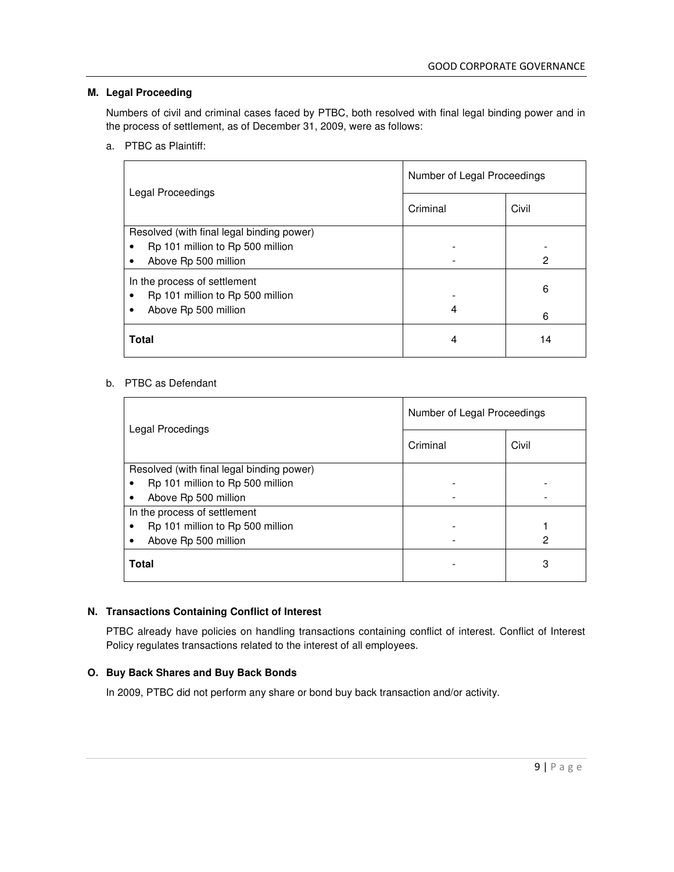# **M. Legal Proceeding**

Numbers of civil and criminal cases faced by PTBC, both resolved with final legal binding power and in the process of settlement, as of December 31, 2009, were as follows:

a. PTBC as Plaintiff:

| Legal Proceedings                                                             | Number of Legal Proceedings |       |  |
|-------------------------------------------------------------------------------|-----------------------------|-------|--|
|                                                                               | Criminal                    | Civil |  |
| Resolved (with final legal binding power)                                     |                             |       |  |
| Rp 101 million to Rp 500 million<br>$\bullet$                                 |                             |       |  |
| Above Rp 500 million<br>٠                                                     |                             | 2     |  |
| In the process of settlement<br>Rp 101 million to Rp 500 million<br>$\bullet$ |                             | 6     |  |
| Above Rp 500 million<br>٠                                                     | 4                           | 6     |  |
| <b>Total</b>                                                                  | 4                           | 14    |  |

# b. PTBC as Defendant

| Legal Procedings                          | Number of Legal Proceedings |       |  |
|-------------------------------------------|-----------------------------|-------|--|
|                                           | Criminal                    | Civil |  |
| Resolved (with final legal binding power) |                             |       |  |
| Rp 101 million to Rp 500 million          |                             |       |  |
| Above Rp 500 million                      |                             |       |  |
| In the process of settlement              |                             |       |  |
| Rp 101 million to Rp 500 million          |                             |       |  |
| Above Rp 500 million                      |                             | 2     |  |
| <b>Total</b>                              |                             | 3     |  |

# **N. Transactions Containing Conflict of Interest**

PTBC already have policies on handling transactions containing conflict of interest. Conflict of Interest Policy regulates transactions related to the interest of all employees.

# **O. Buy Back Shares and Buy Back Bonds**

In 2009, PTBC did not perform any share or bond buy back transaction and/or activity.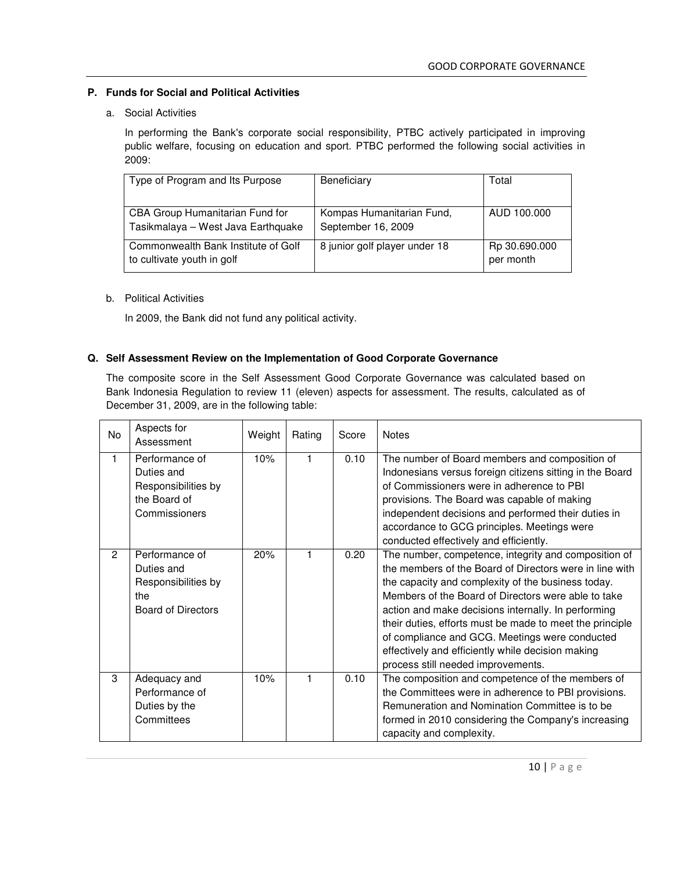# **P. Funds for Social and Political Activities**

## a. Social Activities

In performing the Bank's corporate social responsibility, PTBC actively participated in improving public welfare, focusing on education and sport. PTBC performed the following social activities in 2009:

| Type of Program and Its Purpose                                       | Beneficiary                                     | Total                      |
|-----------------------------------------------------------------------|-------------------------------------------------|----------------------------|
| CBA Group Humanitarian Fund for<br>Tasikmalaya - West Java Earthquake | Kompas Humanitarian Fund,<br>September 16, 2009 | AUD 100,000                |
| Commonwealth Bank Institute of Golf<br>to cultivate youth in golf     | 8 junior golf player under 18                   | Rp 30.690.000<br>per month |

# b. Political Activities

In 2009, the Bank did not fund any political activity.

# **Q. Self Assessment Review on the Implementation of Good Corporate Governance**

The composite score in the Self Assessment Good Corporate Governance was calculated based on Bank Indonesia Regulation to review 11 (eleven) aspects for assessment. The results, calculated as of December 31, 2009, are in the following table:

| No | Aspects for<br>Assessment                                                               | Weight | Rating | Score | <b>Notes</b>                                                                                                                                                                                                                                                                                                                                                                                                                                                                                 |
|----|-----------------------------------------------------------------------------------------|--------|--------|-------|----------------------------------------------------------------------------------------------------------------------------------------------------------------------------------------------------------------------------------------------------------------------------------------------------------------------------------------------------------------------------------------------------------------------------------------------------------------------------------------------|
| 1  | Performance of<br>Duties and<br>Responsibilities by<br>the Board of<br>Commissioners    | 10%    | 1      | 0.10  | The number of Board members and composition of<br>Indonesians versus foreign citizens sitting in the Board<br>of Commissioners were in adherence to PBI<br>provisions. The Board was capable of making<br>independent decisions and performed their duties in<br>accordance to GCG principles. Meetings were<br>conducted effectively and efficiently.                                                                                                                                       |
| 2  | Performance of<br>Duties and<br>Responsibilities by<br>the<br><b>Board of Directors</b> | 20%    |        | 0.20  | The number, competence, integrity and composition of<br>the members of the Board of Directors were in line with<br>the capacity and complexity of the business today.<br>Members of the Board of Directors were able to take<br>action and make decisions internally. In performing<br>their duties, efforts must be made to meet the principle<br>of compliance and GCG. Meetings were conducted<br>effectively and efficiently while decision making<br>process still needed improvements. |
| 3  | Adequacy and<br>Performance of<br>Duties by the<br>Committees                           | 10%    | 1      | 0.10  | The composition and competence of the members of<br>the Committees were in adherence to PBI provisions.<br>Remuneration and Nomination Committee is to be<br>formed in 2010 considering the Company's increasing<br>capacity and complexity.                                                                                                                                                                                                                                                 |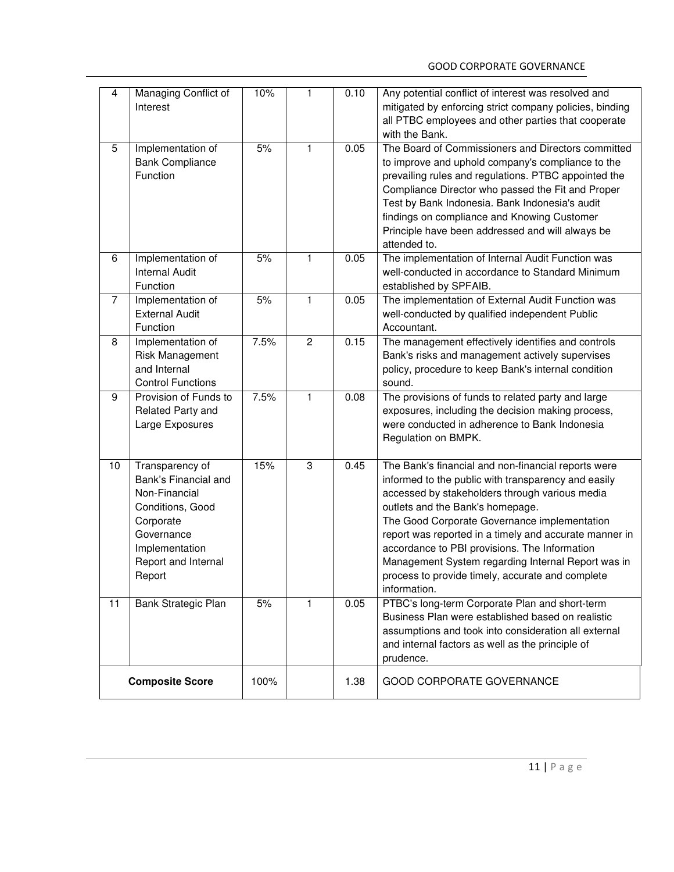| 4                      | Managing Conflict of<br>Interest                                                                                                                           | 10%  | 1              | 0.10 | Any potential conflict of interest was resolved and<br>mitigated by enforcing strict company policies, binding<br>all PTBC employees and other parties that cooperate<br>with the Bank.                                                                                                                                                                                                                                                                                               |
|------------------------|------------------------------------------------------------------------------------------------------------------------------------------------------------|------|----------------|------|---------------------------------------------------------------------------------------------------------------------------------------------------------------------------------------------------------------------------------------------------------------------------------------------------------------------------------------------------------------------------------------------------------------------------------------------------------------------------------------|
| 5                      | Implementation of<br><b>Bank Compliance</b><br>Function                                                                                                    | 5%   | 1              | 0.05 | The Board of Commissioners and Directors committed<br>to improve and uphold company's compliance to the<br>prevailing rules and regulations. PTBC appointed the<br>Compliance Director who passed the Fit and Proper<br>Test by Bank Indonesia. Bank Indonesia's audit<br>findings on compliance and Knowing Customer<br>Principle have been addressed and will always be<br>attended to.                                                                                             |
| 6                      | Implementation of<br><b>Internal Audit</b><br>Function                                                                                                     | 5%   | 1              | 0.05 | The implementation of Internal Audit Function was<br>well-conducted in accordance to Standard Minimum<br>established by SPFAIB.                                                                                                                                                                                                                                                                                                                                                       |
| $\overline{7}$         | Implementation of<br><b>External Audit</b><br>Function                                                                                                     | 5%   | 1              | 0.05 | The implementation of External Audit Function was<br>well-conducted by qualified independent Public<br>Accountant.                                                                                                                                                                                                                                                                                                                                                                    |
| 8                      | Implementation of<br>Risk Management<br>and Internal<br><b>Control Functions</b>                                                                           | 7.5% | $\overline{2}$ | 0.15 | The management effectively identifies and controls<br>Bank's risks and management actively supervises<br>policy, procedure to keep Bank's internal condition<br>sound.                                                                                                                                                                                                                                                                                                                |
| $\overline{9}$         | Provision of Funds to<br>Related Party and<br>Large Exposures                                                                                              | 7.5% | 1              | 0.08 | The provisions of funds to related party and large<br>exposures, including the decision making process,<br>were conducted in adherence to Bank Indonesia<br>Regulation on BMPK.                                                                                                                                                                                                                                                                                                       |
| 10                     | Transparency of<br>Bank's Financial and<br>Non-Financial<br>Conditions, Good<br>Corporate<br>Governance<br>Implementation<br>Report and Internal<br>Report | 15%  | $\overline{3}$ | 0.45 | The Bank's financial and non-financial reports were<br>informed to the public with transparency and easily<br>accessed by stakeholders through various media<br>outlets and the Bank's homepage.<br>The Good Corporate Governance implementation<br>report was reported in a timely and accurate manner in<br>accordance to PBI provisions. The Information<br>Management System regarding Internal Report was in<br>process to provide timely, accurate and complete<br>information. |
| 11                     | Bank Strategic Plan                                                                                                                                        | 5%   | 1              | 0.05 | PTBC's long-term Corporate Plan and short-term<br>Business Plan were established based on realistic<br>assumptions and took into consideration all external<br>and internal factors as well as the principle of<br>prudence.                                                                                                                                                                                                                                                          |
| <b>Composite Score</b> |                                                                                                                                                            | 100% |                | 1.38 | <b>GOOD CORPORATE GOVERNANCE</b>                                                                                                                                                                                                                                                                                                                                                                                                                                                      |